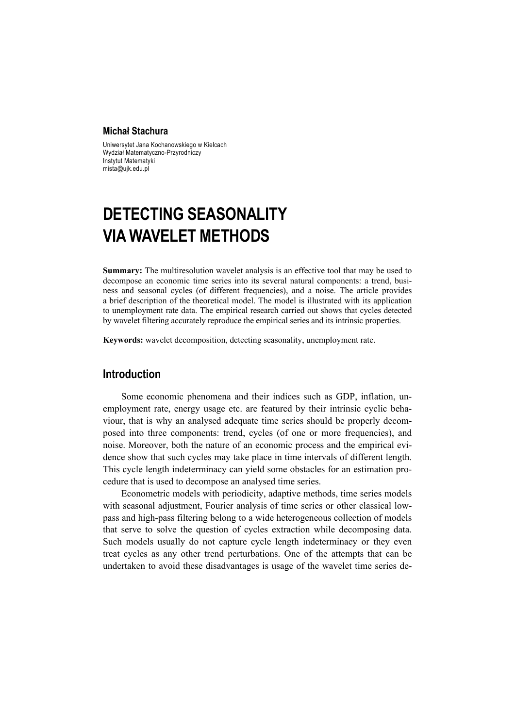#### **Michał Stachura**

Uniwersytet Jana Kochanowskiego w Kielcach Wydział Matematyczno-Przyrodniczy Instytut Matematyki mista@ujk.edu.pl

# **DETECTING SEASONALITY VIA WAVELET METHODS**

**Summary:** The multiresolution wavelet analysis is an effective tool that may be used to decompose an economic time series into its several natural components: a trend, business and seasonal cycles (of different frequencies), and a noise. The article provides a brief description of the theoretical model. The model is illustrated with its application to unemployment rate data. The empirical research carried out shows that cycles detected by wavelet filtering accurately reproduce the empirical series and its intrinsic properties.

**Keywords:** wavelet decomposition, detecting seasonality, unemployment rate.

## **Introduction**

Some economic phenomena and their indices such as GDP, inflation, unemployment rate, energy usage etc. are featured by their intrinsic cyclic behaviour, that is why an analysed adequate time series should be properly decomposed into three components: trend, cycles (of one or more frequencies), and noise. Moreover, both the nature of an economic process and the empirical evidence show that such cycles may take place in time intervals of different length. This cycle length indeterminacy can yield some obstacles for an estimation procedure that is used to decompose an analysed time series.

Econometric models with periodicity, adaptive methods, time series models with seasonal adjustment, Fourier analysis of time series or other classical lowpass and high-pass filtering belong to a wide heterogeneous collection of models that serve to solve the question of cycles extraction while decomposing data. Such models usually do not capture cycle length indeterminacy or they even treat cycles as any other trend perturbations. One of the attempts that can be undertaken to avoid these disadvantages is usage of the wavelet time series de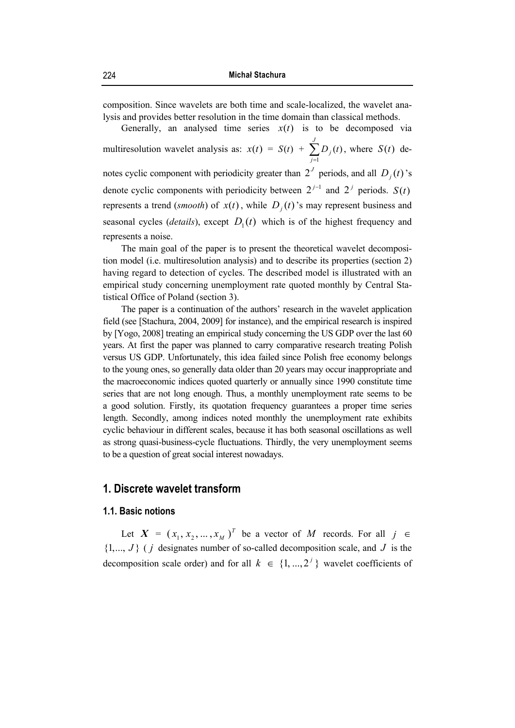composition. Since wavelets are both time and scale-localized, the wavelet analysis and provides better resolution in the time domain than classical methods.

Generally, an analysed time series  $x(t)$  is to be decomposed via multiresolution wavelet analysis as:  $x(t) = S(t) + \sum_{j=1}^{J}$ *j*  $D_j(t)$ 1  $(t)$ , where  $S(t)$  denotes cyclic component with periodicity greater than  $2<sup>J</sup>$  periods, and all  $D<sub>j</sub>(t)$ 's denote cyclic components with periodicity between  $2^{j-1}$  and  $2^j$  periods. *S*(*t*) represents a trend (*smooth*) of  $x(t)$ , while  $D_i(t)$ 's may represent business and seasonal cycles (*details*), except  $D_1(t)$  which is of the highest frequency and represents a noise.

The main goal of the paper is to present the theoretical wavelet decomposition model (i.e. multiresolution analysis) and to describe its properties (section 2) having regard to detection of cycles. The described model is illustrated with an empirical study concerning unemployment rate quoted monthly by Central Statistical Office of Poland (section 3).

The paper is a continuation of the authors' research in the wavelet application field (see [Stachura, 2004, 2009] for instance), and the empirical research is inspired by [Yogo, 2008] treating an empirical study concerning the US GDP over the last 60 years. At first the paper was planned to carry comparative research treating Polish versus US GDP. Unfortunately, this idea failed since Polish free economy belongs to the young ones, so generally data older than 20 years may occur inappropriate and the macroeconomic indices quoted quarterly or annually since 1990 constitute time series that are not long enough. Thus, a monthly unemployment rate seems to be a good solution. Firstly, its quotation frequency guarantees a proper time series length. Secondly, among indices noted monthly the unemployment rate exhibits cyclic behaviour in different scales, because it has both seasonal oscillations as well as strong quasi-business-cycle fluctuations. Thirdly, the very unemployment seems to be a question of great social interest nowadays.

## **1. Discrete wavelet transform**

#### **1.1. Basic notions**

Let  $X = (x_1, x_2, ..., x_M)^T$  be a vector of *M* records. For all  $j \in$  $\{1, ..., J\}$  (*j* designates number of so-called decomposition scale, and *J* is the decomposition scale order) and for all  $k \in \{1, ..., 2^j\}$  wavelet coefficients of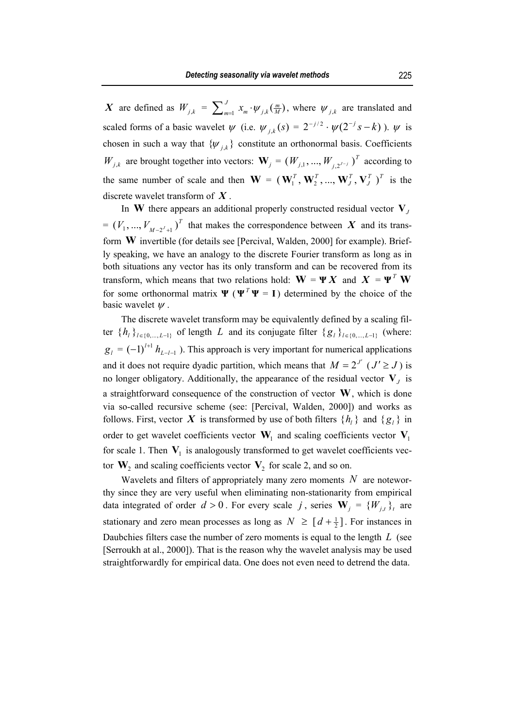*X* are defined as  $W_{j,k} = \sum_{m=1}^{J} x_m \cdot \psi_{j,k}(\frac{m}{M})$ , where  $\psi_{j,k}$  are translated and scaled forms of a basic wavelet  $\psi$  (i.e.  $\psi_{i,k}(s) = 2^{-j/2} \cdot \psi(2^{-j} s - k)$ ).  $\psi$  is chosen in such a way that  $\{ \psi_{j,k} \}$  constitute an orthonormal basis. Coefficients *W*<sub>*j*,*k*</sub> are brought together into vectors:  $\mathbf{W}_j = (W_{j,1}, ..., W_{j,2^{J-j}})^T$  according to the same number of scale and then  $\mathbf{W} = (\mathbf{W}_1^T, \mathbf{W}_2^T, ..., \mathbf{W}_L^T, \mathbf{V}_L^T)^T$ *J T*  $(\mathbf{W}_1^T, \mathbf{W}_2^T, ..., \mathbf{W}_J^T, \mathbf{V}_J^T)^T$  is the discrete wavelet transform of *X* .

In **W** there appears an additional properly constructed residual vector  $V<sub>J</sub>$  $V_{M-2^{J}+1}$   $V_{M-2^{J}+1}$  that makes the correspondence between *X* and its transform **W** invertible (for details see [Percival, Walden, 2000] for example). Briefly speaking, we have an analogy to the discrete Fourier transform as long as in both situations any vector has its only transform and can be recovered from its transform, which means that two relations hold:  $\mathbf{W} = \mathbf{\Psi} \mathbf{X}$  and  $\mathbf{X} = \mathbf{\Psi}^T \mathbf{W}$ for some orthonormal matrix  $\Psi$  ( $\Psi^T \Psi = I$ ) determined by the choice of the basic wavelet  $\psi$ .

The discrete wavelet transform may be equivalently defined by a scaling filter  $\{h_l\}_{l \in \{0,\dots,L-1\}}$  of length *L* and its conjugate filter  $\{g_l\}_{l \in \{0,\dots,L-1\}}$  (where:  $g_l = (-1)^{l+1} h_{l-l-1}$ ). This approach is very important for numerical applications and it does not require dyadic partition, which means that  $M = 2^{J'}$  ( $J' \ge J$ ) is no longer obligatory. Additionally, the appearance of the residual vector  $V<sub>J</sub>$  is a straightforward consequence of the construction of vector **W**, which is done via so-called recursive scheme (see: [Percival, Walden, 2000]) and works as follows. First, vector X is transformed by use of both filters  $\{h_l\}$  and  $\{g_l\}$  in order to get wavelet coefficients vector  $W_1$  and scaling coefficients vector  $V_1$ for scale 1. Then  $V_1$  is analogously transformed to get wavelet coefficients vector  $W_2$  and scaling coefficients vector  $V_2$  for scale 2, and so on.

Wavelets and filters of appropriately many zero moments *N* are noteworthy since they are very useful when eliminating non-stationarity from empirical data integrated of order  $d > 0$ . For every scale *j*, series  $W_i = \{W_{i,t}\}_t$  are stationary and zero mean processes as long as  $N \geq [d + \frac{1}{2}]$ . For instances in Daubchies filters case the number of zero moments is equal to the length *L* (see [Serroukh at al., 2000]). That is the reason why the wavelet analysis may be used straightforwardly for empirical data. One does not even need to detrend the data.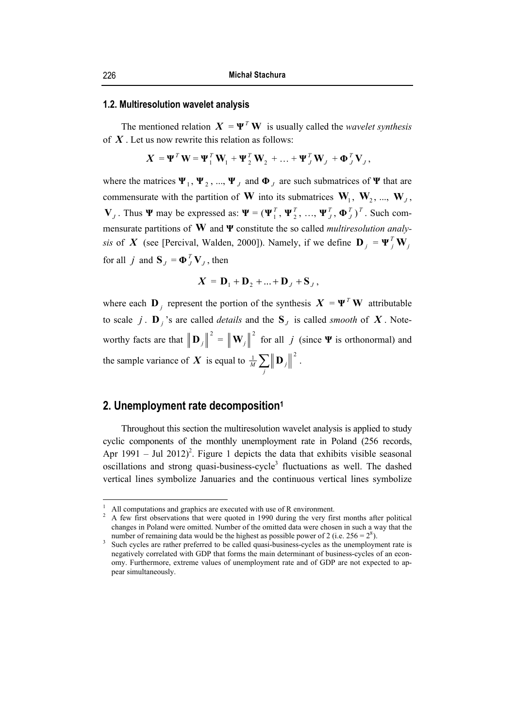#### **1.2. Multiresolution wavelet analysis**

The mentioned relation  $X = \Psi^T W$  is usually called the *wavelet synthesis* of *X* . Let us now rewrite this relation as follows:

$$
\mathbf{X} = \mathbf{\Psi}^T \mathbf{W} = \mathbf{\Psi}_1^T \mathbf{W}_1 + \mathbf{\Psi}_2^T \mathbf{W}_2 + \dots + \mathbf{\Psi}_J^T \mathbf{W}_J + \mathbf{\Phi}_J^T \mathbf{V}_J,
$$

where the matrices  $\Psi_1$ ,  $\Psi_2$ , ...,  $\Psi_j$  and  $\Phi_j$  are such submatrices of  $\Psi$  that are commensurate with the partition of **W** into its submatrices  $W_1$ ,  $W_2$ , ...,  $W_J$ , **V**<sub>*J*</sub> . Thus **Ψ** may be expressed as:  $\Psi = (\Psi_1^T, \Psi_2^T, ..., \Psi_J^T, \Phi_J^T)^T$ . Such commensurate partitions of **W** and **Ψ** constitute the so called *multiresolution analysis* of *X* (see [Percival, Walden, 2000]). Namely, if we define  $\mathbf{D}_j = \mathbf{\Psi}_j^T \mathbf{W}_j$ for all *j* and  $S_J = \Phi_J^T V_J$ , then

$$
\boldsymbol{X} = \mathbf{D}_1 + \mathbf{D}_2 + \dots + \mathbf{D}_J + \mathbf{S}_J,
$$

where each  $\mathbf{D}_j$  represent the portion of the synthesis  $\mathbf{X} = \mathbf{\Psi}^T \mathbf{W}$  attributable to scale *j* . **D** *j* 's are called *details* and the  $S$ <sub>*J*</sub> is called *smooth* of *X*. Noteworthy facts are that  $\left\|\mathbf{D}_j\right\|^2 = \left\|\mathbf{W}_j\right\|^2$  for all *j* (since **Ψ** is orthonormal) and the sample variance of *X* is equal to  $\frac{1}{M} \sum_{j} \|\mathbf{D}_{j}\|^2$ .

## **2. Unemployment rate decomposition1**

Throughout this section the multiresolution wavelet analysis is applied to study cyclic components of the monthly unemployment rate in Poland (256 records, Apr 1991 – Jul 2012)<sup>2</sup>. Figure 1 depicts the data that exhibits visible seasonal oscillations and strong quasi-business-cycle<sup>3</sup> fluctuations as well. The dashed vertical lines symbolize Januaries and the continuous vertical lines symbolize

 $\overline{a}$ 

<sup>1</sup> <sup>1</sup> All computations and graphics are executed with use of R environment.<br><sup>2</sup> A four first observations that were quoted in 1000 during the user first

A few first observations that were quoted in 1990 during the very first months after political changes in Poland were omitted. Number of the omitted data were chosen in such a way that the number of remaining data would be the highest as possible power of 2 (i.e.  $256 = 2^8$ ).<br><sup>3</sup> Such avales are rather proferred to be called questi business avales as the unamplement

<sup>&</sup>lt;sup>3</sup> Such cycles are rather preferred to be called quasi-business-cycles as the unemployment rate is negatively correlated with GDP that forms the main determinant of business-cycles of an economy. Furthermore, extreme values of unemployment rate and of GDP are not expected to appear simultaneously.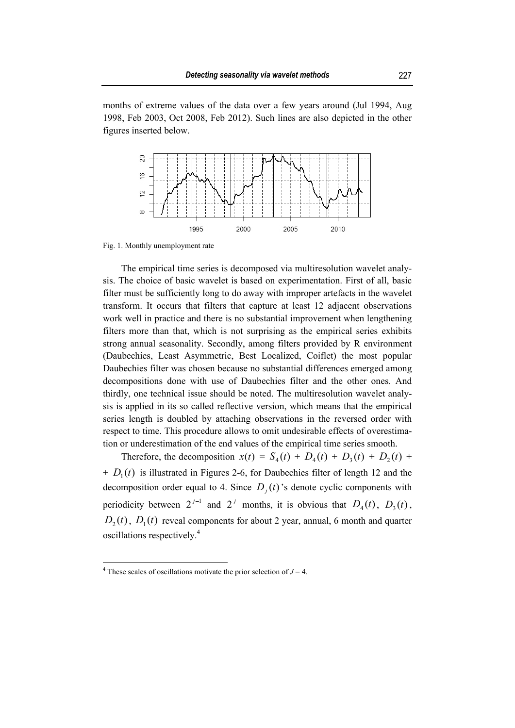months of extreme values of the data over a few years around (Jul 1994, Aug 1998, Feb 2003, Oct 2008, Feb 2012). Such lines are also depicted in the other figures inserted below.



Fig. 1. Monthly unemployment rate

The empirical time series is decomposed via multiresolution wavelet analysis. The choice of basic wavelet is based on experimentation. First of all, basic filter must be sufficiently long to do away with improper artefacts in the wavelet transform. It occurs that filters that capture at least 12 adjacent observations work well in practice and there is no substantial improvement when lengthening filters more than that, which is not surprising as the empirical series exhibits strong annual seasonality. Secondly, among filters provided by R environment (Daubechies, Least Asymmetric, Best Localized, Coiflet) the most popular Daubechies filter was chosen because no substantial differences emerged among decompositions done with use of Daubechies filter and the other ones. And thirdly, one technical issue should be noted. The multiresolution wavelet analysis is applied in its so called reflective version, which means that the empirical series length is doubled by attaching observations in the reversed order with respect to time. This procedure allows to omit undesirable effects of overestimation or underestimation of the end values of the empirical time series smooth.

Therefore, the decomposition  $x(t) = S_4(t) + D_4(t) + D_3(t) + D_2(t) + D_3(t)$  $+ D_1(t)$  is illustrated in Figures 2-6, for Daubechies filter of length 12 and the decomposition order equal to 4. Since  $D_i(t)$  *s* denote cyclic components with periodicity between  $2^{j-1}$  and  $2^j$  months, it is obvious that  $D_4(t)$ ,  $D_3(t)$ ,  $D_2(t)$ ,  $D_1(t)$  reveal components for about 2 year, annual, 6 month and quarter oscillations respectively.4

 $\overline{a}$ 

<sup>&</sup>lt;sup>4</sup> These scales of oscillations motivate the prior selection of  $J = 4$ .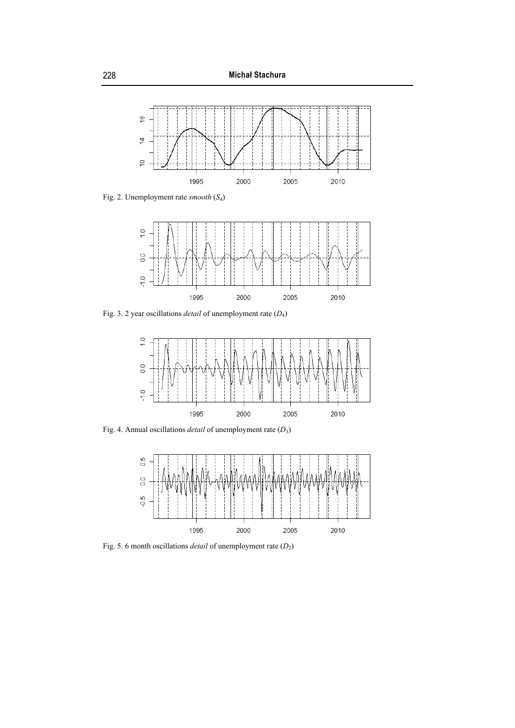

Fig. 2. Unemployment rate *smooth* (*S*4)



Fig. 3. 2 year oscillations *detail* of unemployment rate (*D*4)



Fig. 4. Annual oscillations *detail* of unemployment rate (*D*3)



Fig. 5. 6 month oscillations *detail* of unemployment rate (*D*2)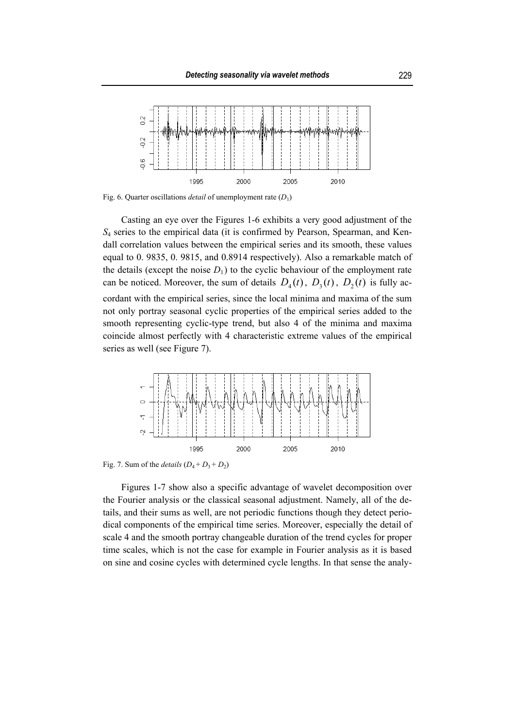

Fig. 6. Quarter oscillations *detail* of unemployment rate  $(D_1)$ 

Casting an eye over the Figures 1-6 exhibits a very good adjustment of the *S*4 series to the empirical data (it is confirmed by Pearson, Spearman, and Kendall correlation values between the empirical series and its smooth, these values equal to 0. 9835, 0. 9815, and 0.8914 respectively). Also a remarkable match of the details (except the noise  $D_1$ ) to the cyclic behaviour of the employment rate can be noticed. Moreover, the sum of details  $D_4(t)$ ,  $D_3(t)$ ,  $D_2(t)$  is fully accordant with the empirical series, since the local minima and maxima of the sum not only portray seasonal cyclic properties of the empirical series added to the smooth representing cyclic-type trend, but also 4 of the minima and maxima coincide almost perfectly with 4 characteristic extreme values of the empirical series as well (see Figure 7).



Fig. 7. Sum of the *details*  $(D_4 + D_3 + D_2)$ 

Figures 1-7 show also a specific advantage of wavelet decomposition over the Fourier analysis or the classical seasonal adjustment. Namely, all of the details, and their sums as well, are not periodic functions though they detect periodical components of the empirical time series. Moreover, especially the detail of scale 4 and the smooth portray changeable duration of the trend cycles for proper time scales, which is not the case for example in Fourier analysis as it is based on sine and cosine cycles with determined cycle lengths. In that sense the analy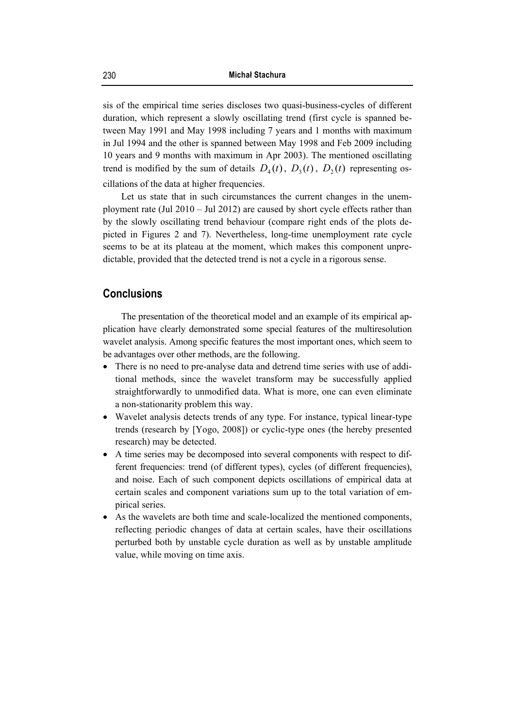sis of the empirical time series discloses two quasi-business-cycles of different duration, which represent a slowly oscillating trend (first cycle is spanned between May 1991 and May 1998 including 7 years and 1 months with maximum in Jul 1994 and the other is spanned between May 1998 and Feb 2009 including 10 years and 9 months with maximum in Apr 2003). The mentioned oscillating trend is modified by the sum of details  $D_4(t)$ ,  $D_3(t)$ ,  $D_2(t)$  representing oscillations of the data at higher frequencies.

Let us state that in such circumstances the current changes in the unemployment rate (Jul 2010 – Jul 2012) are caused by short cycle effects rather than by the slowly oscillating trend behaviour (compare right ends of the plots depicted in Figures 2 and 7). Nevertheless, long-time unemployment rate cycle seems to be at its plateau at the moment, which makes this component unpredictable, provided that the detected trend is not a cycle in a rigorous sense.

## **Conclusions**

The presentation of the theoretical model and an example of its empirical application have clearly demonstrated some special features of the multiresolution wavelet analysis. Among specific features the most important ones, which seem to be advantages over other methods, are the following.

- There is no need to pre-analyse data and detrend time series with use of additional methods, since the wavelet transform may be successfully applied straightforwardly to unmodified data. What is more, one can even eliminate a non-stationarity problem this way.
- Wavelet analysis detects trends of any type. For instance, typical linear-type trends (research by [Yogo, 2008]) or cyclic-type ones (the hereby presented research) may be detected.
- A time series may be decomposed into several components with respect to different frequencies: trend (of different types), cycles (of different frequencies), and noise. Each of such component depicts oscillations of empirical data at certain scales and component variations sum up to the total variation of empirical series.
- As the wavelets are both time and scale-localized the mentioned components, reflecting periodic changes of data at certain scales, have their oscillations perturbed both by unstable cycle duration as well as by unstable amplitude value, while moving on time axis.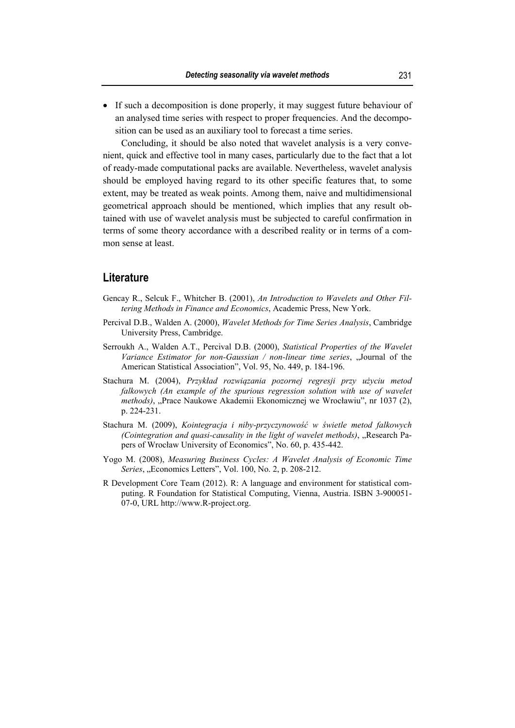• If such a decomposition is done properly, it may suggest future behaviour of an analysed time series with respect to proper frequencies. And the decomposition can be used as an auxiliary tool to forecast a time series.

Concluding, it should be also noted that wavelet analysis is a very convenient, quick and effective tool in many cases, particularly due to the fact that a lot of ready-made computational packs are available. Nevertheless, wavelet analysis should be employed having regard to its other specific features that, to some extent, may be treated as weak points. Among them, naive and multidimensional geometrical approach should be mentioned, which implies that any result obtained with use of wavelet analysis must be subjected to careful confirmation in terms of some theory accordance with a described reality or in terms of a common sense at least.

## **Literature**

- Gencay R., Selcuk F., Whitcher B. (2001), *An Introduction to Wavelets and Other Filtering Methods in Finance and Economics*, Academic Press, New York.
- Percival D.B., Walden A. (2000), *Wavelet Methods for Time Series Analysis*, Cambridge University Press, Cambridge.
- Serroukh A., Walden A.T., Percival D.B. (2000), *Statistical Properties of the Wavelet Variance Estimator for non-Gaussian / non-linear time series*, "Journal of the American Statistical Association", Vol. 95, No. 449, p. 184-196.
- Stachura M. (2004), *Przykład rozwiązania pozornej regresji przy użyciu metod falkowych (An example of the spurious regression solution with use of wavelet methods*), "Prace Naukowe Akademii Ekonomicznej we Wrocławiu", nr 1037 (2), p. 224-231.
- Stachura M. (2009), *Kointegracja i niby-przyczynowość w świetle metod falkowych (Cointegration and quasi-causality in the light of wavelet methods)*, "Research Papers of Wrocław University of Economics", No. 60, p. 435-442.
- Yogo M. (2008), *Measuring Business Cycles: A Wavelet Analysis of Economic Time Series*, "Economics Letters", Vol. 100, No. 2, p. 208-212.
- R Development Core Team (2012). R: A language and environment for statistical computing. R Foundation for Statistical Computing, Vienna, Austria. ISBN 3-900051- 07-0, URL http://www.R-project.org.